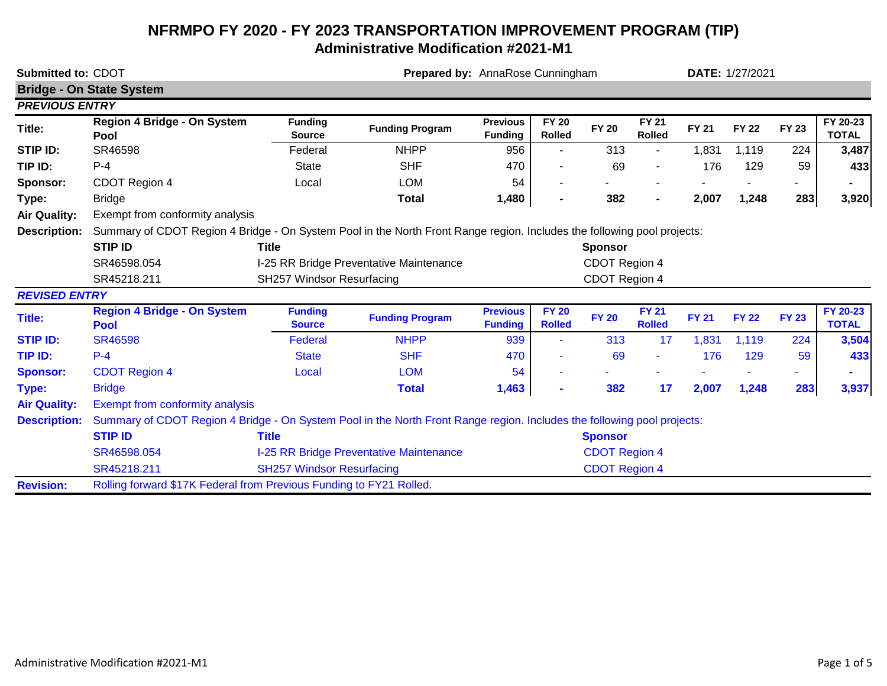# **NFRMPO FY 2020 - FY 2023 TRANSPORTATION IMPROVEMENT PROGRAM (TIP) Administrative Modification #2021-M1**

| Submitted to: CDOT    |                                                                                                                         |                                  |                                         | Prepared by: AnnaRose Cunningham  |                               |                      |                               |              | DATE: 1/27/2021 |              |                          |  |  |
|-----------------------|-------------------------------------------------------------------------------------------------------------------------|----------------------------------|-----------------------------------------|-----------------------------------|-------------------------------|----------------------|-------------------------------|--------------|-----------------|--------------|--------------------------|--|--|
|                       | <b>Bridge - On State System</b>                                                                                         |                                  |                                         |                                   |                               |                      |                               |              |                 |              |                          |  |  |
| <b>PREVIOUS ENTRY</b> |                                                                                                                         |                                  |                                         |                                   |                               |                      |                               |              |                 |              |                          |  |  |
| Title:                | Region 4 Bridge - On System<br>Pool                                                                                     | <b>Funding</b><br><b>Source</b>  | <b>Funding Program</b>                  | <b>Previous</b><br><b>Funding</b> | <b>FY 20</b><br><b>Rolled</b> | <b>FY 20</b>         | <b>FY 21</b><br><b>Rolled</b> | <b>FY 21</b> | <b>FY 22</b>    | <b>FY 23</b> | FY 20-23<br><b>TOTAL</b> |  |  |
| STIP ID:              | SR46598                                                                                                                 | Federal                          | <b>NHPP</b>                             | 956                               | ٠                             | 313                  |                               | 1,831        | 1,119           | 224          | 3,487                    |  |  |
| TIP ID:               | $P-4$                                                                                                                   | <b>State</b>                     | <b>SHF</b>                              | 470                               |                               | 69                   |                               | 176          | 129             | 59           | 433                      |  |  |
| Sponsor:              | CDOT Region 4                                                                                                           | Local                            | <b>LOM</b>                              | 54                                | -                             |                      |                               |              |                 | ۰            |                          |  |  |
| Type:                 | <b>Bridge</b>                                                                                                           |                                  | <b>Total</b>                            | 1,480                             | $\blacksquare$                | 382                  | $\blacksquare$                | 2,007        | 1,248           | 283          | 3,920                    |  |  |
| <b>Air Quality:</b>   | Exempt from conformity analysis                                                                                         |                                  |                                         |                                   |                               |                      |                               |              |                 |              |                          |  |  |
| <b>Description:</b>   | Summary of CDOT Region 4 Bridge - On System Pool in the North Front Range region. Includes the following pool projects: |                                  |                                         |                                   |                               |                      |                               |              |                 |              |                          |  |  |
|                       | <b>STIP ID</b>                                                                                                          | <b>Title</b>                     |                                         |                                   |                               | <b>Sponsor</b>       |                               |              |                 |              |                          |  |  |
|                       | SR46598.054                                                                                                             |                                  | I-25 RR Bridge Preventative Maintenance |                                   |                               | CDOT Region 4        |                               |              |                 |              |                          |  |  |
|                       | SR45218.211                                                                                                             | SH257 Windsor Resurfacing        |                                         |                                   |                               | CDOT Region 4        |                               |              |                 |              |                          |  |  |
| <b>REVISED ENTRY</b>  |                                                                                                                         |                                  |                                         |                                   |                               |                      |                               |              |                 |              |                          |  |  |
| Title:                | <b>Region 4 Bridge - On System</b><br><b>Pool</b>                                                                       | <b>Funding</b><br><b>Source</b>  | <b>Funding Program</b>                  | <b>Previous</b><br><b>Funding</b> | <b>FY 20</b><br><b>Rolled</b> | <b>FY 20</b>         | <b>FY 21</b><br><b>Rolled</b> | <b>FY 21</b> | <b>FY 22</b>    | <b>FY 23</b> | FY 20-23<br><b>TOTAL</b> |  |  |
| <b>STIP ID:</b>       | <b>SR46598</b>                                                                                                          | Federal                          | <b>NHPP</b>                             | 939                               |                               | 313                  | 17                            | 1,831        | 1,119           | 224          | 3,504                    |  |  |
| TIP ID:               | $P - 4$                                                                                                                 | <b>State</b>                     | <b>SHF</b>                              | 470                               | ٠                             | 69                   | ٠                             | 176          | 129             | 59           | 433                      |  |  |
| <b>Sponsor:</b>       | <b>CDOT Region 4</b>                                                                                                    | Local                            | <b>LOM</b>                              | 54                                |                               |                      |                               |              |                 |              |                          |  |  |
| Type:                 | <b>Bridge</b>                                                                                                           |                                  | <b>Total</b>                            | 1,463                             | $\blacksquare$                | 382                  | 17                            | 2,007        | 1,248           | 283          | 3,937                    |  |  |
| <b>Air Quality:</b>   | <b>Exempt from conformity analysis</b>                                                                                  |                                  |                                         |                                   |                               |                      |                               |              |                 |              |                          |  |  |
| <b>Description:</b>   | Summary of CDOT Region 4 Bridge - On System Pool in the North Front Range region. Includes the following pool projects: |                                  |                                         |                                   |                               |                      |                               |              |                 |              |                          |  |  |
|                       | <b>STIP ID</b>                                                                                                          | <b>Title</b>                     |                                         |                                   |                               | <b>Sponsor</b>       |                               |              |                 |              |                          |  |  |
|                       | SR46598.054                                                                                                             |                                  | I-25 RR Bridge Preventative Maintenance |                                   |                               | <b>CDOT Region 4</b> |                               |              |                 |              |                          |  |  |
|                       | SR45218.211                                                                                                             | <b>SH257 Windsor Resurfacing</b> |                                         |                                   |                               | <b>CDOT Region 4</b> |                               |              |                 |              |                          |  |  |
| <b>Revision:</b>      | Rolling forward \$17K Federal from Previous Funding to FY21 Rolled.                                                     |                                  |                                         |                                   |                               |                      |                               |              |                 |              |                          |  |  |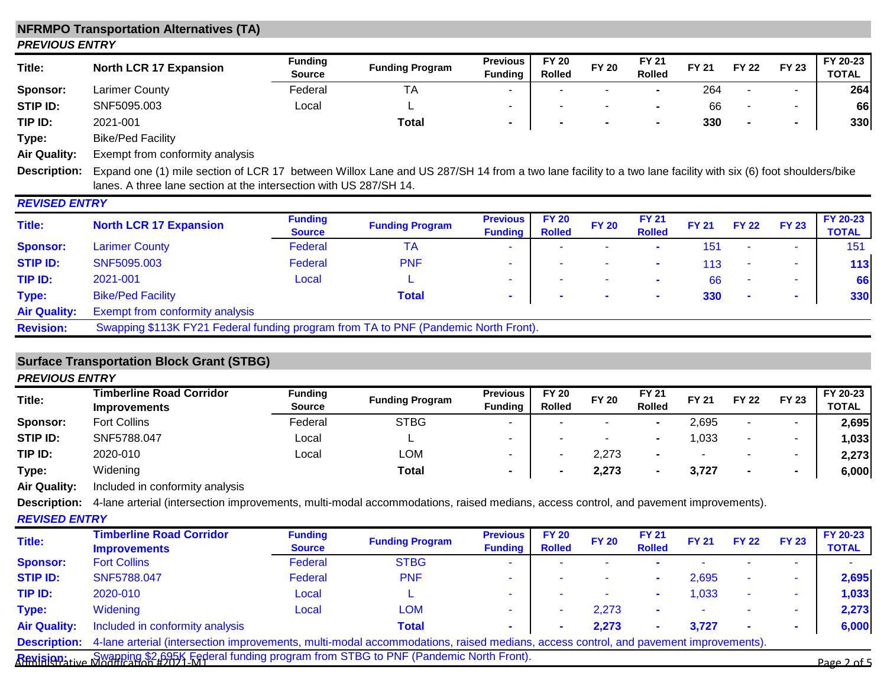## **NFRMPO Transportation Alternatives (TA)** *PREVIOUS ENTRY*

| Title:          | <b>North LCR 17 Expansion</b> | <b>Funding</b><br><b>Source</b> | <b>Funding Program</b> | <b>Previous</b><br><b>Funding</b> | <b>FY 20</b><br><b>Rolled</b> | <b>FY 20</b> | <b>FY 21</b><br><b>Rolled</b> | <b>FY 21</b> | FY 22 | <b>FY 23</b> | FY 20-23<br><b>TOTAL</b> |
|-----------------|-------------------------------|---------------------------------|------------------------|-----------------------------------|-------------------------------|--------------|-------------------------------|--------------|-------|--------------|--------------------------|
| Sponsor:        | <b>Larimer County</b>         | Federal                         | <b>TA</b>              |                                   |                               |              |                               | 264          |       |              | 264                      |
| <b>STIP ID:</b> | SNF5095.003                   | Local                           | -                      |                                   |                               |              |                               | 66           |       |              | 66                       |
| TIP ID:         | 2021-001                      |                                 | <b>Total</b>           |                                   |                               |              |                               | 330          |       |              | 330                      |
|                 | _  _ _ . _ . _                |                                 |                        |                                   |                               |              |                               |              |       |              |                          |

**Type:** Bike/Ped Facility

**Air Quality:** Exempt from conformity analysis

Description: Expand one (1) mile section of LCR 17 between Willox Lane and US 287/SH 14 from a two lane facility to a two lane facility with six (6) foot shoulders/bike lanes. A three lane section at the intersection with US 287/SH 14.

| <b>REVISED ENTRY</b> |                                                                                     |                                 |                        |                                   |                               |                          |                               |              |              |                |                          |
|----------------------|-------------------------------------------------------------------------------------|---------------------------------|------------------------|-----------------------------------|-------------------------------|--------------------------|-------------------------------|--------------|--------------|----------------|--------------------------|
| Title:               | <b>North LCR 17 Expansion</b>                                                       | <b>Funding</b><br><b>Source</b> | <b>Funding Program</b> | <b>Previous</b><br><b>Funding</b> | <b>FY 20</b><br><b>Rolled</b> | <b>FY 20</b>             | <b>FY 21</b><br><b>Rolled</b> | <b>FY 21</b> | <b>FY 22</b> | <b>FY 23</b>   | FY 20-23<br><b>TOTAL</b> |
| <b>Sponsor:</b>      | <b>Larimer County</b>                                                               | Federal                         | <b>TA</b>              | $\sim$                            | ۰                             | $\overline{\phantom{a}}$ | $\mathbf{r}$                  | 151          | $\sim$       | $\blacksquare$ | 151                      |
| <b>STIP ID:</b>      | SNF5095.003                                                                         | Federal                         | <b>PNF</b>             | $\sim$                            | ۰                             | ۰                        | $\mathcal{L}_{\mathcal{A}}$   | 113          | $\sim$       |                | $113$                    |
| TIP ID:              | 2021-001                                                                            | Local                           |                        |                                   | $\overline{\phantom{a}}$      | ۰                        |                               | 66           | $\sim$       |                | 66                       |
| Type:                | <b>Bike/Ped Facility</b>                                                            |                                 | <b>Total</b>           |                                   | $\mathbf{r}$                  |                          | $\mathbf{r}$                  | 330          | $\sim$       | $\sim$         | 330                      |
| <b>Air Quality:</b>  | <b>Exempt from conformity analysis</b>                                              |                                 |                        |                                   |                               |                          |                               |              |              |                |                          |
| <b>Revision:</b>     | Swapping \$113K FY21 Federal funding program from TA to PNF (Pandemic North Front). |                                 |                        |                                   |                               |                          |                               |              |              |                |                          |

## **Surface Transportation Block Grant (STBG)**

| <b>PREVIOUS ENTRY</b> |                                                        |                                 |                        |                                   |                               |              |                               |                          |              |              |                          |
|-----------------------|--------------------------------------------------------|---------------------------------|------------------------|-----------------------------------|-------------------------------|--------------|-------------------------------|--------------------------|--------------|--------------|--------------------------|
| Title:                | <b>Timberline Road Corridor</b><br><b>Improvements</b> | <b>Funding</b><br><b>Source</b> | <b>Funding Program</b> | <b>Previous</b><br><b>Funding</b> | <b>FY 20</b><br><b>Rolled</b> | <b>FY 20</b> | <b>FY 21</b><br><b>Rolled</b> | <b>FY 21</b>             | <b>FY 22</b> | <b>FY 23</b> | FY 20-23<br><b>TOTAL</b> |
| Sponsor:              | <b>Fort Collins</b>                                    | Federal                         | <b>STBG</b>            | $\sim$                            |                               |              |                               | 2,695                    | $\sim$       |              | 2,695                    |
| <b>STIP ID:</b>       | SNF5788.047                                            | Local                           |                        | -                                 |                               |              | $\blacksquare$                | ,033                     |              |              | 1,033                    |
| TIP ID:               | 2020-010                                               | Local                           | LOM                    |                                   |                               | 2,273        | $\blacksquare$                | $\overline{\phantom{a}}$ |              | -            | 2,273                    |
| Type:                 | Widening                                               |                                 | Total                  | $\overline{\phantom{a}}$          |                               | 2,273        |                               | 3,727                    |              | . .          | 6,000                    |
| .                     | .                                                      |                                 |                        |                                   |                               |              |                               |                          |              |              |                          |

**Air Quality:** Included in conformity analysis

**Description:** 4-lane arterial (intersection improvements, multi-modal accommodations, raised medians, access control, and pavement improvements).

### *REVISED ENTRY*

| Title:              | <b>Timberline Road Corridor</b><br><b>Improvements</b>                                                                              | <b>Funding</b><br><b>Source</b> | <b>Funding Program</b> | <b>Previous</b><br><b>Funding</b> | <b>FY 20</b><br><b>Rolled</b> | <b>FY 20</b> | <b>FY 21</b><br><b>Rolled</b> | <b>FY 21</b> | <b>FY 22</b> | <b>FY 23</b> | FY 20-23<br><b>TOTAL</b> |
|---------------------|-------------------------------------------------------------------------------------------------------------------------------------|---------------------------------|------------------------|-----------------------------------|-------------------------------|--------------|-------------------------------|--------------|--------------|--------------|--------------------------|
| <b>Sponsor:</b>     | <b>Fort Collins</b>                                                                                                                 | Federal                         | <b>STBG</b>            | $\sim$                            |                               |              |                               |              |              |              |                          |
| <b>STIP ID:</b>     | SNF5788.047                                                                                                                         | Federal                         | <b>PNF</b>             |                                   |                               |              |                               | 2,695        |              | ۰            | 2,695                    |
| TIP ID:             | 2020-010                                                                                                                            | Local                           |                        |                                   |                               |              |                               | 1,033        |              |              | 1,033                    |
| Type:               | Widening                                                                                                                            | Local                           | <b>LOM</b>             |                                   |                               | 2.273        |                               |              |              |              | 2,273                    |
| <b>Air Quality:</b> | Included in conformity analysis                                                                                                     |                                 | <b>Total</b>           |                                   |                               | 2.273        |                               | 3.727        |              |              | 6,000                    |
| <b>Description:</b> | 4-lane arterial (intersection improvements, multi-modal accommodations, raised medians, access control, and pavement improvements). |                                 |                        |                                   |                               |              |                               |              |              |              |                          |
|                     | Revision ive Nuapping \$2,695K Federal funding program from STBG to PNF (Pandemic North Front).                                     |                                 |                        |                                   |                               |              |                               |              |              |              | Page 2 of 5              |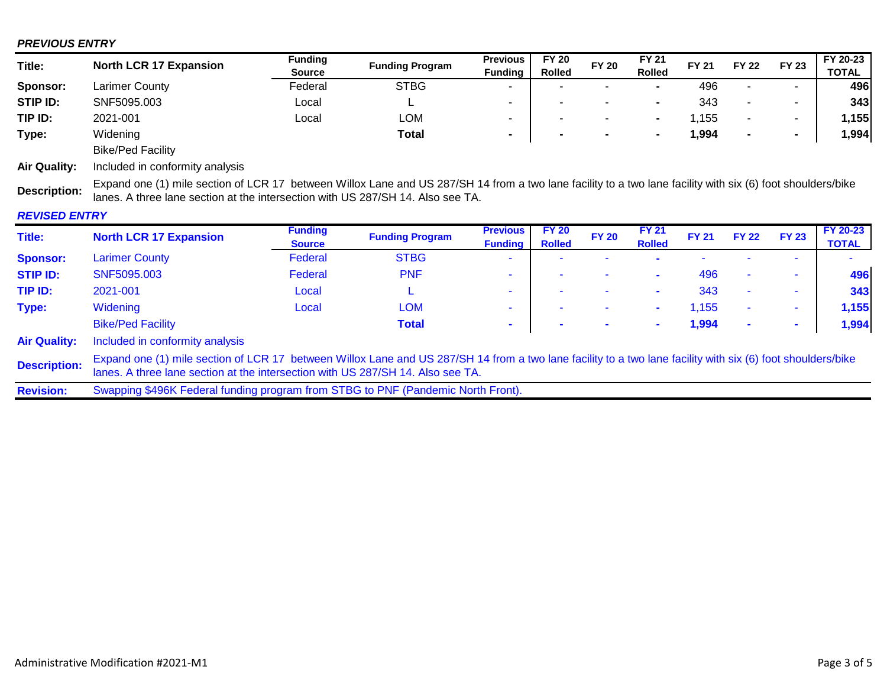## *PREVIOUS ENTRY*

| Title:              | <b>North LCR 17 Expansion</b>   | <b>Funding</b> | <b>Funding Program</b> | <b>Previous</b>          | <b>FY 20</b>             | <b>FY 20</b>             | <b>FY 21</b>             | FY 21 | <b>FY 22</b>             | <b>FY 23</b>             | FY 20-23     |
|---------------------|---------------------------------|----------------|------------------------|--------------------------|--------------------------|--------------------------|--------------------------|-------|--------------------------|--------------------------|--------------|
|                     |                                 | <b>Source</b>  |                        | <b>Fundina</b>           | <b>Rolled</b>            |                          | <b>Rolled</b>            |       |                          |                          | <b>TOTAL</b> |
| Sponsor:            | <b>Larimer County</b>           | Federal        | <b>STBG</b>            | ۰                        | ۰                        | $\overline{\phantom{0}}$ | $\overline{\phantom{a}}$ | 496   | $\overline{\phantom{0}}$ | $\overline{\phantom{a}}$ | 496          |
| STIP ID:            | SNF5095.003                     | Local          |                        | $\overline{\phantom{a}}$ | $\overline{\phantom{a}}$ | ۰                        | $\overline{\phantom{a}}$ | 343   |                          | $\overline{\phantom{a}}$ | 343          |
| TIP ID:             | 2021-001                        | Local          | LOM                    | $\overline{\phantom{a}}$ |                          |                          | -                        | 1,155 |                          | $\overline{\phantom{0}}$ | 1,155        |
| Type:               | Widening                        |                | Total                  | $\blacksquare$           | $\blacksquare$           | $\blacksquare$           | -                        | 994,ا |                          | $\overline{\phantom{a}}$ | ,994         |
|                     | <b>Bike/Ped Facility</b>        |                |                        |                          |                          |                          |                          |       |                          |                          |              |
| <b>Air Quality:</b> | Included in conformity analysis |                |                        |                          |                          |                          |                          |       |                          |                          |              |

**Description:** Expand one (1) mile section of LCR 17 between Willox Lane and US 287/SH 14 from a two lane facility to a two lane facility with six (6) foot shoulders/bike lanes. A three lane section at the intersection with US 287/SH 14. Also see TA.

## *REVISED ENTRY*

| Title:              | <b>North LCR 17 Expansion</b>                                                                                                                                                                                                                  | <b>Funding</b> | <b>Funding Program</b> | <b>Previous</b> | <b>FY 20</b>  | <b>FY 20</b> | <b>FY 21</b>  | <b>FY 21</b> | <b>FY 22</b>             | <b>FY 23</b>             | <b>FY 20-23</b> |
|---------------------|------------------------------------------------------------------------------------------------------------------------------------------------------------------------------------------------------------------------------------------------|----------------|------------------------|-----------------|---------------|--------------|---------------|--------------|--------------------------|--------------------------|-----------------|
|                     |                                                                                                                                                                                                                                                | <b>Source</b>  |                        | <b>Funding</b>  | <b>Rolled</b> |              | <b>Rolled</b> |              |                          |                          | <b>TOTAL</b>    |
| <b>Sponsor:</b>     | <b>Larimer County</b>                                                                                                                                                                                                                          | Federal        | <b>STBG</b>            | $\sim$          |               |              |               |              |                          | $\sim$                   |                 |
| <b>STIP ID:</b>     | SNF5095.003                                                                                                                                                                                                                                    | Federal        | <b>PNF</b>             | -               |               |              | $\mathbf{r}$  | 496          |                          | $\overline{\phantom{a}}$ | 496             |
| TIP ID:             | 2021-001                                                                                                                                                                                                                                       | Local          | ►                      |                 |               |              |               | 343          | $\overline{\phantom{a}}$ | $\overline{\phantom{a}}$ | 343             |
| Type:               | Widening                                                                                                                                                                                                                                       | Local          | <b>LOM</b>             |                 |               |              |               | 1,155        | ۰                        |                          | 1,155           |
|                     | <b>Bike/Ped Facility</b>                                                                                                                                                                                                                       |                | <b>Total</b>           |                 |               |              | $\mathbf{r}$  | 1,994        | $\blacksquare$           |                          | 1,994           |
| <b>Air Quality:</b> | Included in conformity analysis                                                                                                                                                                                                                |                |                        |                 |               |              |               |              |                          |                          |                 |
| <b>Description:</b> | Expand one (1) mile section of LCR 17 between Willox Lane and US 287/SH 14 from a two lane facility to a two lane facility with six (6) foot shoulders/bike<br>lanes. A three lane section at the intersection with US 287/SH 14. Also see TA. |                |                        |                 |               |              |               |              |                          |                          |                 |
|                     |                                                                                                                                                                                                                                                |                |                        |                 |               |              |               |              |                          |                          |                 |

**Revision:** Swapping \$496K Federal funding program from STBG to PNF (Pandemic North Front).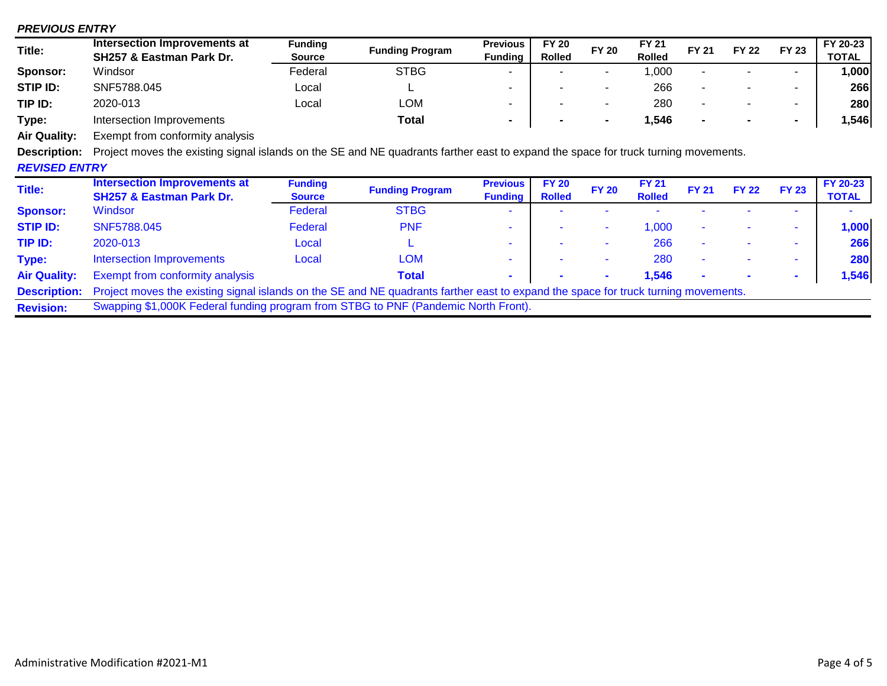#### *PREVIOUS ENTRY*

| Title:   | Intersection Improvements at | <b>Funding</b> |                        | <b>Previous</b>          | <b>FY 20</b>  | <b>FY 20</b>             | FY 21         | <b>FY 21</b> | <b>FY 22</b> |                | FY 20-23     |
|----------|------------------------------|----------------|------------------------|--------------------------|---------------|--------------------------|---------------|--------------|--------------|----------------|--------------|
|          | SH257 & Eastman Park Dr.     | <b>Source</b>  | <b>Funding Program</b> | <b>Fundina</b>           | <b>Rolled</b> |                          | <b>Rolled</b> |              |              | <b>FY 23</b>   | <b>TOTAL</b> |
| Sponsor: | Windsor                      | Federal        | <b>STBG</b>            |                          |               |                          | ,000          |              |              |                | ,000         |
| STIP ID: | SNF5788.045                  | ∟ocal          | -                      |                          |               | -                        | 266           |              |              |                | 266          |
| TIP ID:  | 2020-013                     | ∟ocal          | LOM                    | $\overline{\phantom{0}}$ |               | $\overline{\phantom{a}}$ | 280           |              |              |                | 280          |
| Type:    | Intersection Improvements    |                | Total                  |                          |               |                          | ,546          | $\sim$       | $\mathbf{r}$ | $\blacksquare$ | ,546         |

**Air Quality:** Exempt from conformity analysis

**Description:** Project moves the existing signal islands on the SE and NE quadrants farther east to expand the space for truck turning movements.

### *REVISED ENTRY*

| Title:              | <b>Intersection Improvements at</b><br><b>SH257 &amp; Eastman Park Dr.</b>                                                                             | <b>Funding</b><br><b>Source</b> | <b>Funding Program</b> | <b>Previous</b><br><b>Funding</b> | <b>FY 20</b><br><b>Rolled</b> | <b>FY 20</b>             | <b>FY 21</b><br><b>Rolled</b> | <b>FY 21</b> | <b>FY 22</b> | <b>FY 23</b> | <b>FY 20-23</b><br><b>TOTAL</b> |
|---------------------|--------------------------------------------------------------------------------------------------------------------------------------------------------|---------------------------------|------------------------|-----------------------------------|-------------------------------|--------------------------|-------------------------------|--------------|--------------|--------------|---------------------------------|
| <b>Sponsor:</b>     | Windsor                                                                                                                                                | Federal                         | <b>STBG</b>            |                                   |                               |                          |                               |              |              |              |                                 |
| <b>STIP ID:</b>     | SNF5788.045                                                                                                                                            | Federal                         | <b>PNF</b>             |                                   |                               |                          | 1,000                         |              |              |              | 1,000                           |
| TIP ID:             | 2020-013                                                                                                                                               | Local                           |                        | $\overline{\phantom{a}}$          |                               |                          | 266                           |              |              |              | 266                             |
| Type:               | <b>Intersection Improvements</b>                                                                                                                       | Local                           | <b>LOM</b>             |                                   |                               | $\overline{\phantom{a}}$ | 280                           |              |              |              | 280                             |
| <b>Air Quality:</b> | <b>Exempt from conformity analysis</b>                                                                                                                 |                                 | <b>Total</b>           |                                   |                               | $\sim$                   | 1,546                         |              |              |              | 1,546                           |
|                     | <b>Description:</b> Project moves the existing signal islands on the SE and NE quadrants farther east to expand the space for truck turning movements. |                                 |                        |                                   |                               |                          |                               |              |              |              |                                 |
| <b>Revision:</b>    | Swapping \$1,000K Federal funding program from STBG to PNF (Pandemic North Front).                                                                     |                                 |                        |                                   |                               |                          |                               |              |              |              |                                 |